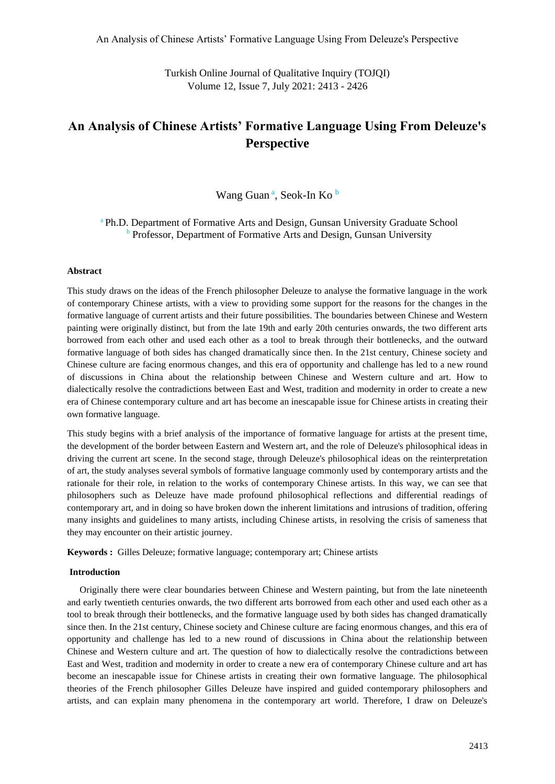Turkish Online Journal of Qualitative Inquiry (TOJQI) Volume 12, Issue 7, July 2021: 2413 - 2426

# **An Analysis of Chinese Artists' Formative Language Using From Deleuze's Perspective**

Wang Guan<sup>a</sup>, Seok-In Ko<sup>b</sup>

<sup>a</sup> Ph.D. Department of Formative Arts and Design, Gunsan University Graduate School **b** Professor, Department of Formative Arts and Design, Gunsan University

## **Abstract**

This study draws on the ideas of the French philosopher Deleuze to analyse the formative language in the work of contemporary Chinese artists, with a view to providing some support for the reasons for the changes in the formative language of current artists and their future possibilities. The boundaries between Chinese and Western painting were originally distinct, but from the late 19th and early 20th centuries onwards, the two different arts borrowed from each other and used each other as a tool to break through their bottlenecks, and the outward formative language of both sides has changed dramatically since then. In the 21st century, Chinese society and Chinese culture are facing enormous changes, and this era of opportunity and challenge has led to a new round of discussions in China about the relationship between Chinese and Western culture and art. How to dialectically resolve the contradictions between East and West, tradition and modernity in order to create a new era of Chinese contemporary culture and art has become an inescapable issue for Chinese artists in creating their own formative language.

This study begins with a brief analysis of the importance of formative language for artists at the present time, the development of the border between Eastern and Western art, and the role of Deleuze's philosophical ideas in driving the current art scene. In the second stage, through Deleuze's philosophical ideas on the reinterpretation of art, the study analyses several symbols of formative language commonly used by contemporary artists and the rationale for their role, in relation to the works of contemporary Chinese artists. In this way, we can see that philosophers such as Deleuze have made profound philosophical reflections and differential readings of contemporary art, and in doing so have broken down the inherent limitations and intrusions of tradition, offering many insights and guidelines to many artists, including Chinese artists, in resolving the crisis of sameness that they may encounter on their artistic journey.

**Keywords :** Gilles Deleuze; formative language; contemporary art; Chinese artists

#### **Introduction**

Originally there were clear boundaries between Chinese and Western painting, but from the late nineteenth and early twentieth centuries onwards, the two different arts borrowed from each other and used each other as a tool to break through their bottlenecks, and the formative language used by both sides has changed dramatically since then. In the 21st century, Chinese society and Chinese culture are facing enormous changes, and this era of opportunity and challenge has led to a new round of discussions in China about the relationship between Chinese and Western culture and art. The question of how to dialectically resolve the contradictions between East and West, tradition and modernity in order to create a new era of contemporary Chinese culture and art has become an inescapable issue for Chinese artists in creating their own formative language. The philosophical theories of the French philosopher Gilles Deleuze have inspired and guided contemporary philosophers and artists, and can explain many phenomena in the contemporary art world. Therefore, I draw on Deleuze's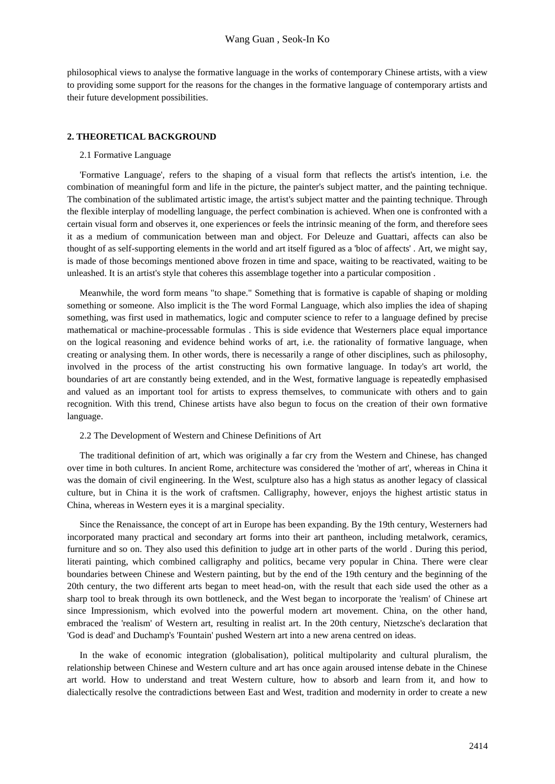philosophical views to analyse the formative language in the works of contemporary Chinese artists, with a view to providing some support for the reasons for the changes in the formative language of contemporary artists and their future development possibilities.

#### **2. THEORETICAL BACKGROUND**

#### 2.1 Formative Language

'Formative Language', refers to the shaping of a visual form that reflects the artist's intention, i.e. the combination of meaningful form and life in the picture, the painter's subject matter, and the painting technique. The combination of the sublimated artistic image, the artist's subject matter and the painting technique. Through the flexible interplay of modelling language, the perfect combination is achieved. When one is confronted with a certain visual form and observes it, one experiences or feels the intrinsic meaning of the form, and therefore sees it as a medium of communication between man and object. For Deleuze and Guattari, affects can also be thought of as self-supporting elements in the world and art itself figured as a 'bloc of affects' . Art, we might say, is made of those becomings mentioned above frozen in time and space, waiting to be reactivated, waiting to be unleashed. It is an artist's style that coheres this assemblage together into a particular composition .

Meanwhile, the word form means "to shape." Something that is formative is capable of shaping or molding something or someone. Also implicit is the The word Formal Language, which also implies the idea of shaping something, was first used in mathematics, logic and computer science to refer to a language defined by precise mathematical or machine-processable formulas . This is side evidence that Westerners place equal importance on the logical reasoning and evidence behind works of art, i.e. the rationality of formative language, when creating or analysing them. In other words, there is necessarily a range of other disciplines, such as philosophy, involved in the process of the artist constructing his own formative language. In today's art world, the boundaries of art are constantly being extended, and in the West, formative language is repeatedly emphasised and valued as an important tool for artists to express themselves, to communicate with others and to gain recognition. With this trend, Chinese artists have also begun to focus on the creation of their own formative language.

#### 2.2 The Development of Western and Chinese Definitions of Art

The traditional definition of art, which was originally a far cry from the Western and Chinese, has changed over time in both cultures. In ancient Rome, architecture was considered the 'mother of art', whereas in China it was the domain of civil engineering. In the West, sculpture also has a high status as another legacy of classical culture, but in China it is the work of craftsmen. Calligraphy, however, enjoys the highest artistic status in China, whereas in Western eyes it is a marginal speciality.

Since the Renaissance, the concept of art in Europe has been expanding. By the 19th century, Westerners had incorporated many practical and secondary art forms into their art pantheon, including metalwork, ceramics, furniture and so on. They also used this definition to judge art in other parts of the world . During this period, literati painting, which combined calligraphy and politics, became very popular in China. There were clear boundaries between Chinese and Western painting, but by the end of the 19th century and the beginning of the 20th century, the two different arts began to meet head-on, with the result that each side used the other as a sharp tool to break through its own bottleneck, and the West began to incorporate the 'realism' of Chinese art since Impressionism, which evolved into the powerful modern art movement. China, on the other hand, embraced the 'realism' of Western art, resulting in realist art. In the 20th century, Nietzsche's declaration that 'God is dead' and Duchamp's 'Fountain' pushed Western art into a new arena centred on ideas.

In the wake of economic integration (globalisation), political multipolarity and cultural pluralism, the relationship between Chinese and Western culture and art has once again aroused intense debate in the Chinese art world. How to understand and treat Western culture, how to absorb and learn from it, and how to dialectically resolve the contradictions between East and West, tradition and modernity in order to create a new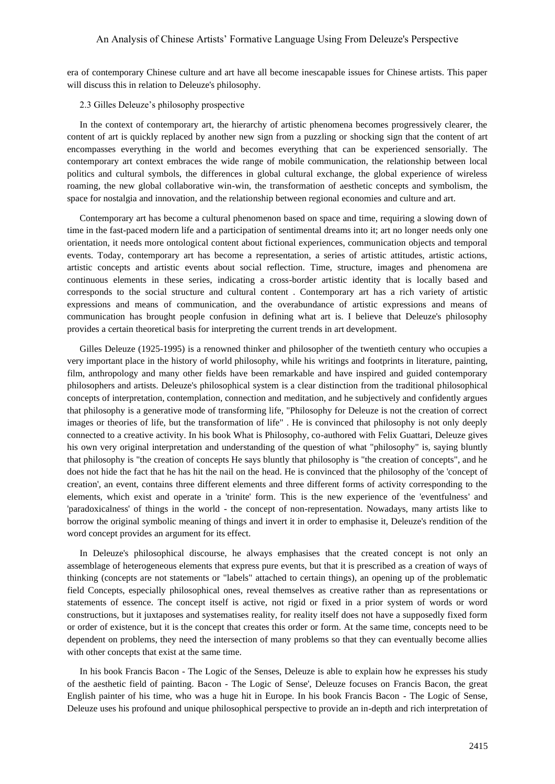era of contemporary Chinese culture and art have all become inescapable issues for Chinese artists. This paper will discuss this in relation to Deleuze's philosophy.

2.3 Gilles Deleuze's philosophy prospective

In the context of contemporary art, the hierarchy of artistic phenomena becomes progressively clearer, the content of art is quickly replaced by another new sign from a puzzling or shocking sign that the content of art encompasses everything in the world and becomes everything that can be experienced sensorially. The contemporary art context embraces the wide range of mobile communication, the relationship between local politics and cultural symbols, the differences in global cultural exchange, the global experience of wireless roaming, the new global collaborative win-win, the transformation of aesthetic concepts and symbolism, the space for nostalgia and innovation, and the relationship between regional economies and culture and art.

Contemporary art has become a cultural phenomenon based on space and time, requiring a slowing down of time in the fast-paced modern life and a participation of sentimental dreams into it; art no longer needs only one orientation, it needs more ontological content about fictional experiences, communication objects and temporal events. Today, contemporary art has become a representation, a series of artistic attitudes, artistic actions, artistic concepts and artistic events about social reflection. Time, structure, images and phenomena are continuous elements in these series, indicating a cross-border artistic identity that is locally based and corresponds to the social structure and cultural content . Contemporary art has a rich variety of artistic expressions and means of communication, and the overabundance of artistic expressions and means of communication has brought people confusion in defining what art is. I believe that Deleuze's philosophy provides a certain theoretical basis for interpreting the current trends in art development.

Gilles Deleuze (1925-1995) is a renowned thinker and philosopher of the twentieth century who occupies a very important place in the history of world philosophy, while his writings and footprints in literature, painting, film, anthropology and many other fields have been remarkable and have inspired and guided contemporary philosophers and artists. Deleuze's philosophical system is a clear distinction from the traditional philosophical concepts of interpretation, contemplation, connection and meditation, and he subjectively and confidently argues that philosophy is a generative mode of transforming life, "Philosophy for Deleuze is not the creation of correct images or theories of life, but the transformation of life" . He is convinced that philosophy is not only deeply connected to a creative activity. In his book What is Philosophy, co-authored with Felix Guattari, Deleuze gives his own very original interpretation and understanding of the question of what "philosophy" is, saying bluntly that philosophy is "the creation of concepts He says bluntly that philosophy is "the creation of concepts", and he does not hide the fact that he has hit the nail on the head. He is convinced that the philosophy of the 'concept of creation', an event, contains three different elements and three different forms of activity corresponding to the elements, which exist and operate in a 'trinite' form. This is the new experience of the 'eventfulness' and 'paradoxicalness' of things in the world - the concept of non-representation. Nowadays, many artists like to borrow the original symbolic meaning of things and invert it in order to emphasise it, Deleuze's rendition of the word concept provides an argument for its effect.

In Deleuze's philosophical discourse, he always emphasises that the created concept is not only an assemblage of heterogeneous elements that express pure events, but that it is prescribed as a creation of ways of thinking (concepts are not statements or "labels" attached to certain things), an opening up of the problematic field Concepts, especially philosophical ones, reveal themselves as creative rather than as representations or statements of essence. The concept itself is active, not rigid or fixed in a prior system of words or word constructions, but it juxtaposes and systematises reality, for reality itself does not have a supposedly fixed form or order of existence, but it is the concept that creates this order or form. At the same time, concepts need to be dependent on problems, they need the intersection of many problems so that they can eventually become allies with other concepts that exist at the same time.

In his book Francis Bacon - The Logic of the Senses, Deleuze is able to explain how he expresses his study of the aesthetic field of painting. Bacon - The Logic of Sense', Deleuze focuses on Francis Bacon, the great English painter of his time, who was a huge hit in Europe. In his book Francis Bacon - The Logic of Sense, Deleuze uses his profound and unique philosophical perspective to provide an in-depth and rich interpretation of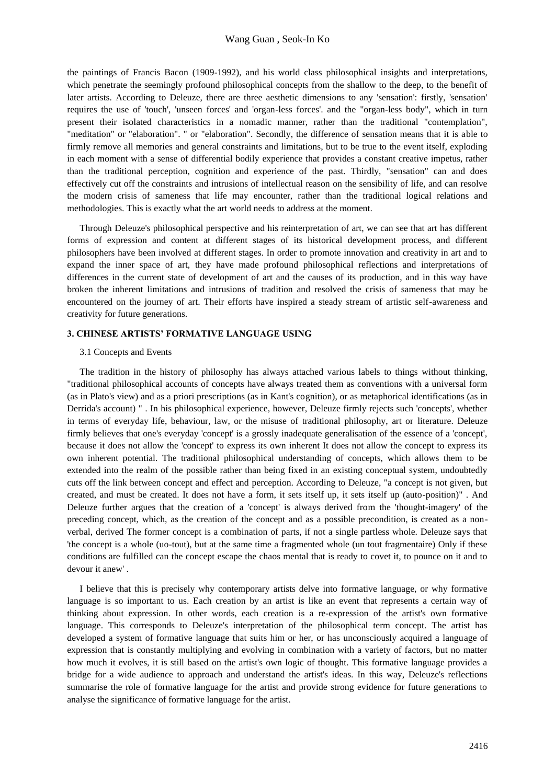the paintings of Francis Bacon (1909-1992), and his world class philosophical insights and interpretations, which penetrate the seemingly profound philosophical concepts from the shallow to the deep, to the benefit of later artists. According to Deleuze, there are three aesthetic dimensions to any 'sensation': firstly, 'sensation' requires the use of 'touch', 'unseen forces' and 'organ-less forces'. and the "organ-less body", which in turn present their isolated characteristics in a nomadic manner, rather than the traditional "contemplation", "meditation" or "elaboration". " or "elaboration". Secondly, the difference of sensation means that it is able to firmly remove all memories and general constraints and limitations, but to be true to the event itself, exploding in each moment with a sense of differential bodily experience that provides a constant creative impetus, rather than the traditional perception, cognition and experience of the past. Thirdly, "sensation" can and does effectively cut off the constraints and intrusions of intellectual reason on the sensibility of life, and can resolve the modern crisis of sameness that life may encounter, rather than the traditional logical relations and methodologies. This is exactly what the art world needs to address at the moment.

Through Deleuze's philosophical perspective and his reinterpretation of art, we can see that art has different forms of expression and content at different stages of its historical development process, and different philosophers have been involved at different stages. In order to promote innovation and creativity in art and to expand the inner space of art, they have made profound philosophical reflections and interpretations of differences in the current state of development of art and the causes of its production, and in this way have broken the inherent limitations and intrusions of tradition and resolved the crisis of sameness that may be encountered on the journey of art. Their efforts have inspired a steady stream of artistic self-awareness and creativity for future generations.

## **3. CHINESE ARTISTS' FORMATIVE LANGUAGE USING**

#### 3.1 Concepts and Events

The tradition in the history of philosophy has always attached various labels to things without thinking, "traditional philosophical accounts of concepts have always treated them as conventions with a universal form (as in Plato's view) and as a priori prescriptions (as in Kant's cognition), or as metaphorical identifications (as in Derrida's account) " . In his philosophical experience, however, Deleuze firmly rejects such 'concepts', whether in terms of everyday life, behaviour, law, or the misuse of traditional philosophy, art or literature. Deleuze firmly believes that one's everyday 'concept' is a grossly inadequate generalisation of the essence of a 'concept', because it does not allow the 'concept' to express its own inherent It does not allow the concept to express its own inherent potential. The traditional philosophical understanding of concepts, which allows them to be extended into the realm of the possible rather than being fixed in an existing conceptual system, undoubtedly cuts off the link between concept and effect and perception. According to Deleuze, "a concept is not given, but created, and must be created. It does not have a form, it sets itself up, it sets itself up (auto-position)" . And Deleuze further argues that the creation of a 'concept' is always derived from the 'thought-imagery' of the preceding concept, which, as the creation of the concept and as a possible precondition, is created as a nonverbal, derived The former concept is a combination of parts, if not a single partless whole. Deleuze says that 'the concept is a whole (uo-tout), but at the same time a fragmented whole (un tout fragmentaire) Only if these conditions are fulfilled can the concept escape the chaos mental that is ready to covet it, to pounce on it and to devour it anew' .

I believe that this is precisely why contemporary artists delve into formative language, or why formative language is so important to us. Each creation by an artist is like an event that represents a certain way of thinking about expression. In other words, each creation is a re-expression of the artist's own formative language. This corresponds to Deleuze's interpretation of the philosophical term concept. The artist has developed a system of formative language that suits him or her, or has unconsciously acquired a language of expression that is constantly multiplying and evolving in combination with a variety of factors, but no matter how much it evolves, it is still based on the artist's own logic of thought. This formative language provides a bridge for a wide audience to approach and understand the artist's ideas. In this way, Deleuze's reflections summarise the role of formative language for the artist and provide strong evidence for future generations to analyse the significance of formative language for the artist.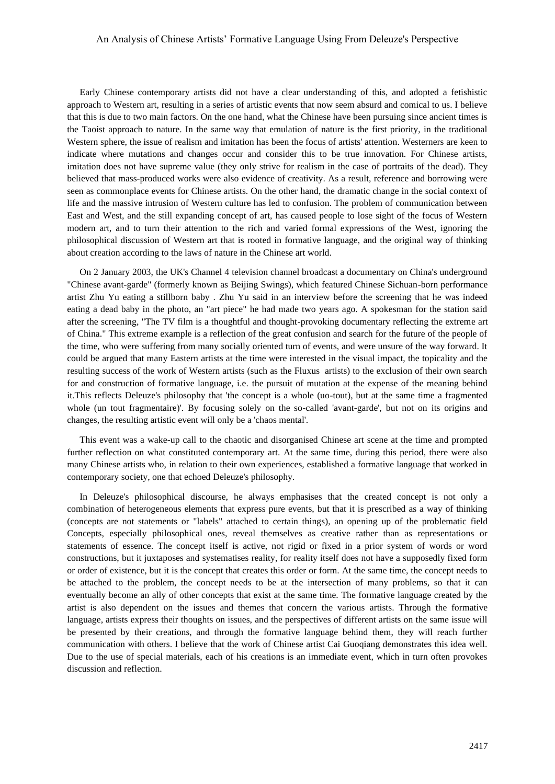Early Chinese contemporary artists did not have a clear understanding of this, and adopted a fetishistic approach to Western art, resulting in a series of artistic events that now seem absurd and comical to us. I believe that this is due to two main factors. On the one hand, what the Chinese have been pursuing since ancient times is the Taoist approach to nature. In the same way that emulation of nature is the first priority, in the traditional Western sphere, the issue of realism and imitation has been the focus of artists' attention. Westerners are keen to indicate where mutations and changes occur and consider this to be true innovation. For Chinese artists, imitation does not have supreme value (they only strive for realism in the case of portraits of the dead). They believed that mass-produced works were also evidence of creativity. As a result, reference and borrowing were seen as commonplace events for Chinese artists. On the other hand, the dramatic change in the social context of life and the massive intrusion of Western culture has led to confusion. The problem of communication between East and West, and the still expanding concept of art, has caused people to lose sight of the focus of Western modern art, and to turn their attention to the rich and varied formal expressions of the West, ignoring the philosophical discussion of Western art that is rooted in formative language, and the original way of thinking about creation according to the laws of nature in the Chinese art world.

On 2 January 2003, the UK's Channel 4 television channel broadcast a documentary on China's underground "Chinese avant-garde" (formerly known as Beijing Swings), which featured Chinese Sichuan-born performance artist Zhu Yu eating a stillborn baby . Zhu Yu said in an interview before the screening that he was indeed eating a dead baby in the photo, an "art piece" he had made two years ago. A spokesman for the station said after the screening, "The TV film is a thoughtful and thought-provoking documentary reflecting the extreme art of China." This extreme example is a reflection of the great confusion and search for the future of the people of the time, who were suffering from many socially oriented turn of events, and were unsure of the way forward. It could be argued that many Eastern artists at the time were interested in the visual impact, the topicality and the resulting success of the work of Western artists (such as the Fluxus artists) to the exclusion of their own search for and construction of formative language, i.e. the pursuit of mutation at the expense of the meaning behind it.This reflects Deleuze's philosophy that 'the concept is a whole (uo-tout), but at the same time a fragmented whole (un tout fragmentaire)'. By focusing solely on the so-called 'avant-garde', but not on its origins and changes, the resulting artistic event will only be a 'chaos mental'.

This event was a wake-up call to the chaotic and disorganised Chinese art scene at the time and prompted further reflection on what constituted contemporary art. At the same time, during this period, there were also many Chinese artists who, in relation to their own experiences, established a formative language that worked in contemporary society, one that echoed Deleuze's philosophy.

In Deleuze's philosophical discourse, he always emphasises that the created concept is not only a combination of heterogeneous elements that express pure events, but that it is prescribed as a way of thinking (concepts are not statements or "labels" attached to certain things), an opening up of the problematic field Concepts, especially philosophical ones, reveal themselves as creative rather than as representations or statements of essence. The concept itself is active, not rigid or fixed in a prior system of words or word constructions, but it juxtaposes and systematises reality, for reality itself does not have a supposedly fixed form or order of existence, but it is the concept that creates this order or form. At the same time, the concept needs to be attached to the problem, the concept needs to be at the intersection of many problems, so that it can eventually become an ally of other concepts that exist at the same time. The formative language created by the artist is also dependent on the issues and themes that concern the various artists. Through the formative language, artists express their thoughts on issues, and the perspectives of different artists on the same issue will be presented by their creations, and through the formative language behind them, they will reach further communication with others. I believe that the work of Chinese artist Cai Guoqiang demonstrates this idea well. Due to the use of special materials, each of his creations is an immediate event, which in turn often provokes discussion and reflection.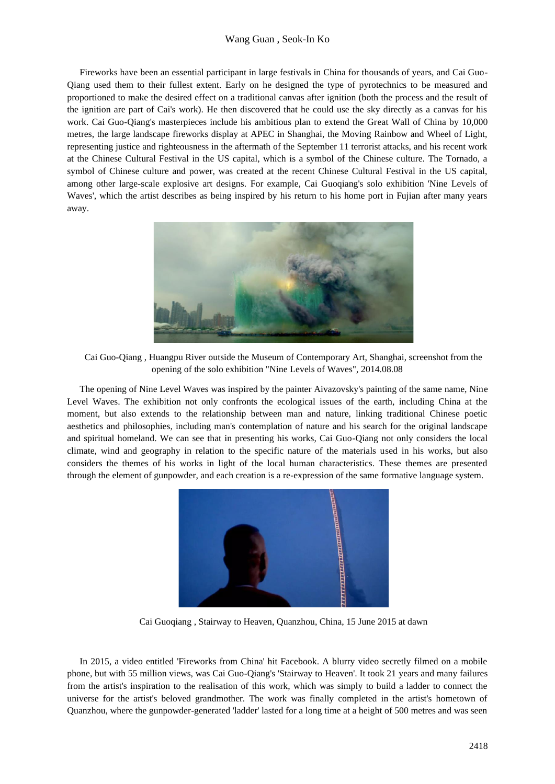Fireworks have been an essential participant in large festivals in China for thousands of years, and Cai Guo-Qiang used them to their fullest extent. Early on he designed the type of pyrotechnics to be measured and proportioned to make the desired effect on a traditional canvas after ignition (both the process and the result of the ignition are part of Cai's work). He then discovered that he could use the sky directly as a canvas for his work. Cai Guo-Qiang's masterpieces include his ambitious plan to extend the Great Wall of China by 10,000 metres, the large landscape fireworks display at APEC in Shanghai, the Moving Rainbow and Wheel of Light, representing justice and righteousness in the aftermath of the September 11 terrorist attacks, and his recent work at the Chinese Cultural Festival in the US capital, which is a symbol of the Chinese culture. The Tornado, a symbol of Chinese culture and power, was created at the recent Chinese Cultural Festival in the US capital, among other large-scale explosive art designs. For example, Cai Guoqiang's solo exhibition 'Nine Levels of Waves', which the artist describes as being inspired by his return to his home port in Fujian after many years away.



Cai Guo-Qiang , Huangpu River outside the Museum of Contemporary Art, Shanghai, screenshot from the opening of the solo exhibition "Nine Levels of Waves", 2014.08.08

The opening of Nine Level Waves was inspired by the painter Aivazovsky's painting of the same name, Nine Level Waves. The exhibition not only confronts the ecological issues of the earth, including China at the moment, but also extends to the relationship between man and nature, linking traditional Chinese poetic aesthetics and philosophies, including man's contemplation of nature and his search for the original landscape and spiritual homeland. We can see that in presenting his works, Cai Guo-Qiang not only considers the local climate, wind and geography in relation to the specific nature of the materials used in his works, but also considers the themes of his works in light of the local human characteristics. These themes are presented through the element of gunpowder, and each creation is a re-expression of the same formative language system.



Cai Guoqiang , Stairway to Heaven, Quanzhou, China, 15 June 2015 at dawn

In 2015, a video entitled 'Fireworks from China' hit Facebook. A blurry video secretly filmed on a mobile phone, but with 55 million views, was Cai Guo-Qiang's 'Stairway to Heaven'. It took 21 years and many failures from the artist's inspiration to the realisation of this work, which was simply to build a ladder to connect the universe for the artist's beloved grandmother. The work was finally completed in the artist's hometown of Quanzhou, where the gunpowder-generated 'ladder' lasted for a long time at a height of 500 metres and was seen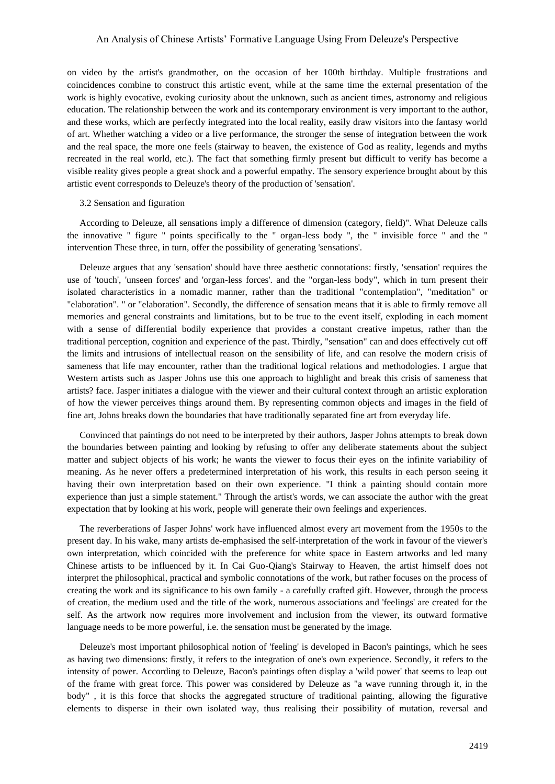on video by the artist's grandmother, on the occasion of her 100th birthday. Multiple frustrations and coincidences combine to construct this artistic event, while at the same time the external presentation of the work is highly evocative, evoking curiosity about the unknown, such as ancient times, astronomy and religious education. The relationship between the work and its contemporary environment is very important to the author, and these works, which are perfectly integrated into the local reality, easily draw visitors into the fantasy world of art. Whether watching a video or a live performance, the stronger the sense of integration between the work and the real space, the more one feels (stairway to heaven, the existence of God as reality, legends and myths recreated in the real world, etc.). The fact that something firmly present but difficult to verify has become a visible reality gives people a great shock and a powerful empathy. The sensory experience brought about by this artistic event corresponds to Deleuze's theory of the production of 'sensation'.

#### 3.2 Sensation and figuration

According to Deleuze, all sensations imply a difference of dimension (category, field)". What Deleuze calls the innovative " figure " points specifically to the " organ-less body ", the " invisible force " and the " intervention These three, in turn, offer the possibility of generating 'sensations'.

Deleuze argues that any 'sensation' should have three aesthetic connotations: firstly, 'sensation' requires the use of 'touch', 'unseen forces' and 'organ-less forces'. and the "organ-less body", which in turn present their isolated characteristics in a nomadic manner, rather than the traditional "contemplation", "meditation" or "elaboration". " or "elaboration". Secondly, the difference of sensation means that it is able to firmly remove all memories and general constraints and limitations, but to be true to the event itself, exploding in each moment with a sense of differential bodily experience that provides a constant creative impetus, rather than the traditional perception, cognition and experience of the past. Thirdly, "sensation" can and does effectively cut off the limits and intrusions of intellectual reason on the sensibility of life, and can resolve the modern crisis of sameness that life may encounter, rather than the traditional logical relations and methodologies. I argue that Western artists such as Jasper Johns use this one approach to highlight and break this crisis of sameness that artists? face. Jasper initiates a dialogue with the viewer and their cultural context through an artistic exploration of how the viewer perceives things around them. By representing common objects and images in the field of fine art, Johns breaks down the boundaries that have traditionally separated fine art from everyday life.

Convinced that paintings do not need to be interpreted by their authors, Jasper Johns attempts to break down the boundaries between painting and looking by refusing to offer any deliberate statements about the subject matter and subject objects of his work; he wants the viewer to focus their eyes on the infinite variability of meaning. As he never offers a predetermined interpretation of his work, this results in each person seeing it having their own interpretation based on their own experience. "I think a painting should contain more experience than just a simple statement." Through the artist's words, we can associate the author with the great expectation that by looking at his work, people will generate their own feelings and experiences.

The reverberations of Jasper Johns' work have influenced almost every art movement from the 1950s to the present day. In his wake, many artists de-emphasised the self-interpretation of the work in favour of the viewer's own interpretation, which coincided with the preference for white space in Eastern artworks and led many Chinese artists to be influenced by it. In Cai Guo-Qiang's Stairway to Heaven, the artist himself does not interpret the philosophical, practical and symbolic connotations of the work, but rather focuses on the process of creating the work and its significance to his own family - a carefully crafted gift. However, through the process of creation, the medium used and the title of the work, numerous associations and 'feelings' are created for the self. As the artwork now requires more involvement and inclusion from the viewer, its outward formative language needs to be more powerful, i.e. the sensation must be generated by the image.

Deleuze's most important philosophical notion of 'feeling' is developed in Bacon's paintings, which he sees as having two dimensions: firstly, it refers to the integration of one's own experience. Secondly, it refers to the intensity of power. According to Deleuze, Bacon's paintings often display a 'wild power' that seems to leap out of the frame with great force. This power was considered by Deleuze as "a wave running through it, in the body" , it is this force that shocks the aggregated structure of traditional painting, allowing the figurative elements to disperse in their own isolated way, thus realising their possibility of mutation, reversal and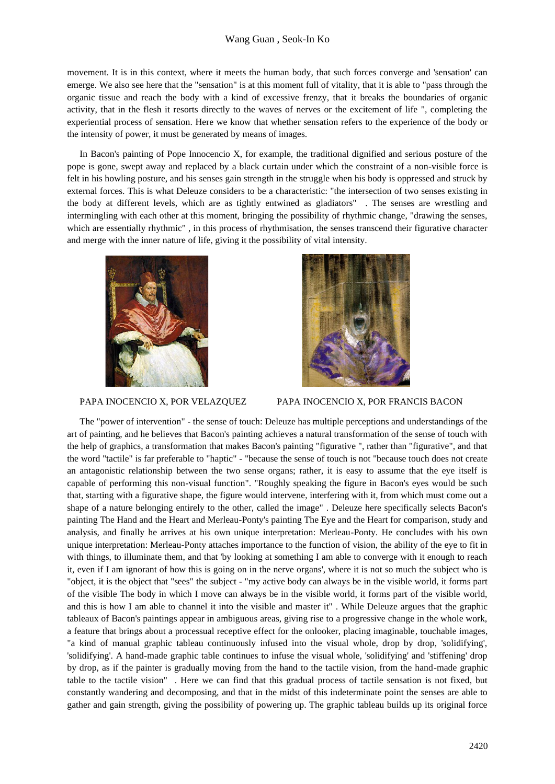movement. It is in this context, where it meets the human body, that such forces converge and 'sensation' can emerge. We also see here that the "sensation" is at this moment full of vitality, that it is able to "pass through the organic tissue and reach the body with a kind of excessive frenzy, that it breaks the boundaries of organic activity, that in the flesh it resorts directly to the waves of nerves or the excitement of life ", completing the experiential process of sensation. Here we know that whether sensation refers to the experience of the body or the intensity of power, it must be generated by means of images.

In Bacon's painting of Pope Innocencio X, for example, the traditional dignified and serious posture of the pope is gone, swept away and replaced by a black curtain under which the constraint of a non-visible force is felt in his howling posture, and his senses gain strength in the struggle when his body is oppressed and struck by external forces. This is what Deleuze considers to be a characteristic: "the intersection of two senses existing in the body at different levels, which are as tightly entwined as gladiators" . The senses are wrestling and intermingling with each other at this moment, bringing the possibility of rhythmic change, "drawing the senses, which are essentially rhythmic" , in this process of rhythmisation, the senses transcend their figurative character and merge with the inner nature of life, giving it the possibility of vital intensity.





# PAPA INOCENCIO X, POR VELAZQUEZ PAPA INOCENCIO X, POR FRANCIS BACON

The "power of intervention" - the sense of touch: Deleuze has multiple perceptions and understandings of the art of painting, and he believes that Bacon's painting achieves a natural transformation of the sense of touch with the help of graphics, a transformation that makes Bacon's painting "figurative ", rather than "figurative", and that the word "tactile" is far preferable to "haptic" - "because the sense of touch is not "because touch does not create an antagonistic relationship between the two sense organs; rather, it is easy to assume that the eye itself is capable of performing this non-visual function". "Roughly speaking the figure in Bacon's eyes would be such that, starting with a figurative shape, the figure would intervene, interfering with it, from which must come out a shape of a nature belonging entirely to the other, called the image" . Deleuze here specifically selects Bacon's painting The Hand and the Heart and Merleau-Ponty's painting The Eye and the Heart for comparison, study and analysis, and finally he arrives at his own unique interpretation: Merleau-Ponty. He concludes with his own unique interpretation: Merleau-Ponty attaches importance to the function of vision, the ability of the eye to fit in with things, to illuminate them, and that 'by looking at something I am able to converge with it enough to reach it, even if I am ignorant of how this is going on in the nerve organs', where it is not so much the subject who is "object, it is the object that "sees" the subject - "my active body can always be in the visible world, it forms part of the visible The body in which I move can always be in the visible world, it forms part of the visible world, and this is how I am able to channel it into the visible and master it" . While Deleuze argues that the graphic tableaux of Bacon's paintings appear in ambiguous areas, giving rise to a progressive change in the whole work, a feature that brings about a processual receptive effect for the onlooker, placing imaginable, touchable images, "a kind of manual graphic tableau continuously infused into the visual whole, drop by drop, 'solidifying', 'solidifying'. A hand-made graphic table continues to infuse the visual whole, 'solidifying' and 'stiffening' drop by drop, as if the painter is gradually moving from the hand to the tactile vision, from the hand-made graphic table to the tactile vision" . Here we can find that this gradual process of tactile sensation is not fixed, but constantly wandering and decomposing, and that in the midst of this indeterminate point the senses are able to gather and gain strength, giving the possibility of powering up. The graphic tableau builds up its original force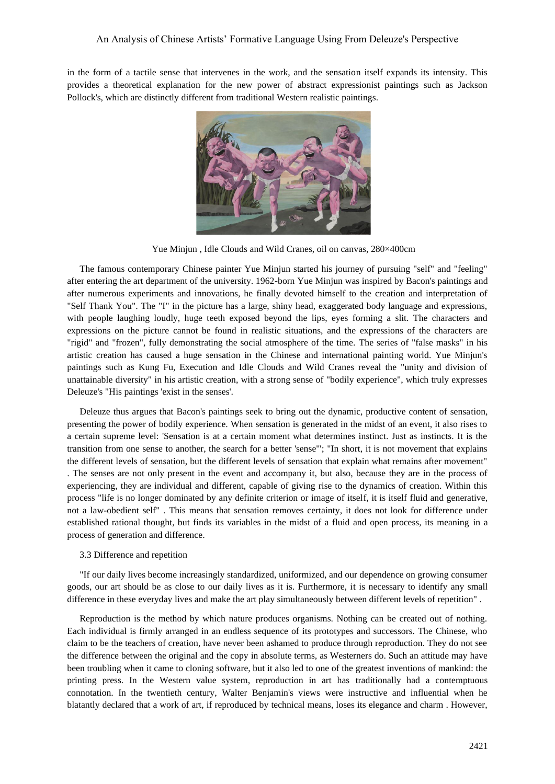in the form of a tactile sense that intervenes in the work, and the sensation itself expands its intensity. This provides a theoretical explanation for the new power of abstract expressionist paintings such as Jackson Pollock's, which are distinctly different from traditional Western realistic paintings.



Yue Minjun , Idle Clouds and Wild Cranes, oil on canvas, 280×400cm

The famous contemporary Chinese painter Yue Minjun started his journey of pursuing "self" and "feeling" after entering the art department of the university. 1962-born Yue Minjun was inspired by Bacon's paintings and after numerous experiments and innovations, he finally devoted himself to the creation and interpretation of "Self Thank You". The "I" in the picture has a large, shiny head, exaggerated body language and expressions, with people laughing loudly, huge teeth exposed beyond the lips, eyes forming a slit. The characters and expressions on the picture cannot be found in realistic situations, and the expressions of the characters are "rigid" and "frozen", fully demonstrating the social atmosphere of the time. The series of "false masks" in his artistic creation has caused a huge sensation in the Chinese and international painting world. Yue Minjun's paintings such as Kung Fu, Execution and Idle Clouds and Wild Cranes reveal the "unity and division of unattainable diversity" in his artistic creation, with a strong sense of "bodily experience", which truly expresses Deleuze's "His paintings 'exist in the senses'.

Deleuze thus argues that Bacon's paintings seek to bring out the dynamic, productive content of sensation, presenting the power of bodily experience. When sensation is generated in the midst of an event, it also rises to a certain supreme level: 'Sensation is at a certain moment what determines instinct. Just as instincts. It is the transition from one sense to another, the search for a better 'sense'"; "In short, it is not movement that explains the different levels of sensation, but the different levels of sensation that explain what remains after movement" . The senses are not only present in the event and accompany it, but also, because they are in the process of experiencing, they are individual and different, capable of giving rise to the dynamics of creation. Within this process "life is no longer dominated by any definite criterion or image of itself, it is itself fluid and generative, not a law-obedient self" . This means that sensation removes certainty, it does not look for difference under established rational thought, but finds its variables in the midst of a fluid and open process, its meaning in a process of generation and difference.

# 3.3 Difference and repetition

"If our daily lives become increasingly standardized, uniformized, and our dependence on growing consumer goods, our art should be as close to our daily lives as it is. Furthermore, it is necessary to identify any small difference in these everyday lives and make the art play simultaneously between different levels of repetition" .

Reproduction is the method by which nature produces organisms. Nothing can be created out of nothing. Each individual is firmly arranged in an endless sequence of its prototypes and successors. The Chinese, who claim to be the teachers of creation, have never been ashamed to produce through reproduction. They do not see the difference between the original and the copy in absolute terms, as Westerners do. Such an attitude may have been troubling when it came to cloning software, but it also led to one of the greatest inventions of mankind: the printing press. In the Western value system, reproduction in art has traditionally had a contemptuous connotation. In the twentieth century, Walter Benjamin's views were instructive and influential when he blatantly declared that a work of art, if reproduced by technical means, loses its elegance and charm . However,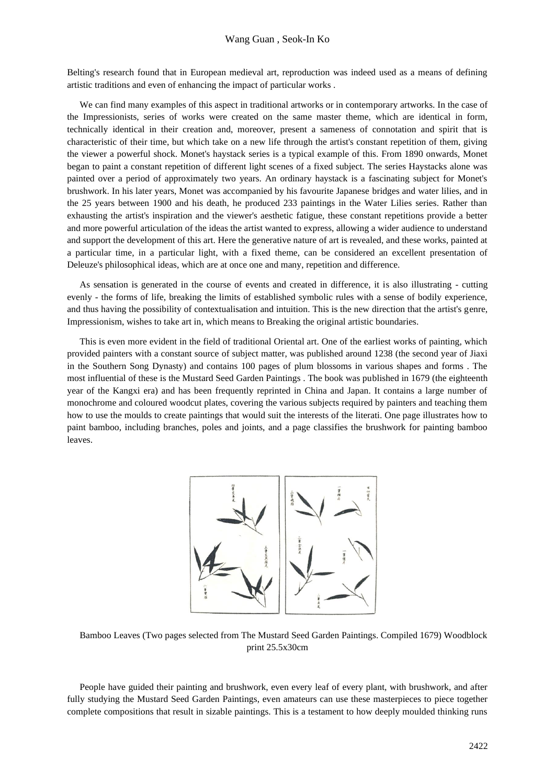Belting's research found that in European medieval art, reproduction was indeed used as a means of defining artistic traditions and even of enhancing the impact of particular works .

We can find many examples of this aspect in traditional artworks or in contemporary artworks. In the case of the Impressionists, series of works were created on the same master theme, which are identical in form, technically identical in their creation and, moreover, present a sameness of connotation and spirit that is characteristic of their time, but which take on a new life through the artist's constant repetition of them, giving the viewer a powerful shock. Monet's haystack series is a typical example of this. From 1890 onwards, Monet began to paint a constant repetition of different light scenes of a fixed subject. The series Haystacks alone was painted over a period of approximately two years. An ordinary haystack is a fascinating subject for Monet's brushwork. In his later years, Monet was accompanied by his favourite Japanese bridges and water lilies, and in the 25 years between 1900 and his death, he produced 233 paintings in the Water Lilies series. Rather than exhausting the artist's inspiration and the viewer's aesthetic fatigue, these constant repetitions provide a better and more powerful articulation of the ideas the artist wanted to express, allowing a wider audience to understand and support the development of this art. Here the generative nature of art is revealed, and these works, painted at a particular time, in a particular light, with a fixed theme, can be considered an excellent presentation of Deleuze's philosophical ideas, which are at once one and many, repetition and difference.

As sensation is generated in the course of events and created in difference, it is also illustrating - cutting evenly - the forms of life, breaking the limits of established symbolic rules with a sense of bodily experience, and thus having the possibility of contextualisation and intuition. This is the new direction that the artist's genre, Impressionism, wishes to take art in, which means to Breaking the original artistic boundaries.

This is even more evident in the field of traditional Oriental art. One of the earliest works of painting, which provided painters with a constant source of subject matter, was published around 1238 (the second year of Jiaxi in the Southern Song Dynasty) and contains 100 pages of plum blossoms in various shapes and forms . The most influential of these is the Mustard Seed Garden Paintings . The book was published in 1679 (the eighteenth year of the Kangxi era) and has been frequently reprinted in China and Japan. It contains a large number of monochrome and coloured woodcut plates, covering the various subjects required by painters and teaching them how to use the moulds to create paintings that would suit the interests of the literati. One page illustrates how to paint bamboo, including branches, poles and joints, and a page classifies the brushwork for painting bamboo leaves.



Bamboo Leaves (Two pages selected from The Mustard Seed Garden Paintings. Compiled 1679) Woodblock print 25.5x30cm

People have guided their painting and brushwork, even every leaf of every plant, with brushwork, and after fully studying the Mustard Seed Garden Paintings, even amateurs can use these masterpieces to piece together complete compositions that result in sizable paintings. This is a testament to how deeply moulded thinking runs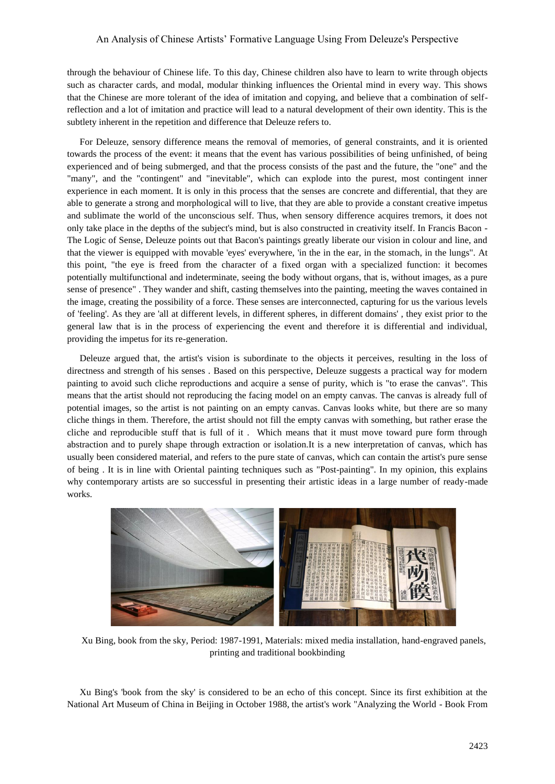through the behaviour of Chinese life. To this day, Chinese children also have to learn to write through objects such as character cards, and modal, modular thinking influences the Oriental mind in every way. This shows that the Chinese are more tolerant of the idea of imitation and copying, and believe that a combination of selfreflection and a lot of imitation and practice will lead to a natural development of their own identity. This is the subtlety inherent in the repetition and difference that Deleuze refers to.

For Deleuze, sensory difference means the removal of memories, of general constraints, and it is oriented towards the process of the event: it means that the event has various possibilities of being unfinished, of being experienced and of being submerged, and that the process consists of the past and the future, the "one" and the "many", and the "contingent" and "inevitable", which can explode into the purest, most contingent inner experience in each moment. It is only in this process that the senses are concrete and differential, that they are able to generate a strong and morphological will to live, that they are able to provide a constant creative impetus and sublimate the world of the unconscious self. Thus, when sensory difference acquires tremors, it does not only take place in the depths of the subject's mind, but is also constructed in creativity itself. In Francis Bacon - The Logic of Sense, Deleuze points out that Bacon's paintings greatly liberate our vision in colour and line, and that the viewer is equipped with movable 'eyes' everywhere, 'in the in the ear, in the stomach, in the lungs". At this point, "the eye is freed from the character of a fixed organ with a specialized function: it becomes potentially multifunctional and indeterminate, seeing the body without organs, that is, without images, as a pure sense of presence" . They wander and shift, casting themselves into the painting, meeting the waves contained in the image, creating the possibility of a force. These senses are interconnected, capturing for us the various levels of 'feeling'. As they are 'all at different levels, in different spheres, in different domains' , they exist prior to the general law that is in the process of experiencing the event and therefore it is differential and individual, providing the impetus for its re-generation.

Deleuze argued that, the artist's vision is subordinate to the objects it perceives, resulting in the loss of directness and strength of his senses . Based on this perspective, Deleuze suggests a practical way for modern painting to avoid such cliche reproductions and acquire a sense of purity, which is "to erase the canvas". This means that the artist should not reproducing the facing model on an empty canvas. The canvas is already full of potential images, so the artist is not painting on an empty canvas. Canvas looks white, but there are so many cliche things in them. Therefore, the artist should not fill the empty canvas with something, but rather erase the cliche and reproducible stuff that is full of it . Which means that it must move toward pure form through abstraction and to purely shape through extraction or isolation.It is a new interpretation of canvas, which has usually been considered material, and refers to the pure state of canvas, which can contain the artist's pure sense of being . It is in line with Oriental painting techniques such as "Post-painting". In my opinion, this explains why contemporary artists are so successful in presenting their artistic ideas in a large number of ready-made works.



Xu Bing, book from the sky, Period: 1987-1991, Materials: mixed media installation, hand-engraved panels, printing and traditional bookbinding

Xu Bing's 'book from the sky' is considered to be an echo of this concept. Since its first exhibition at the National Art Museum of China in Beijing in October 1988, the artist's work "Analyzing the World - Book From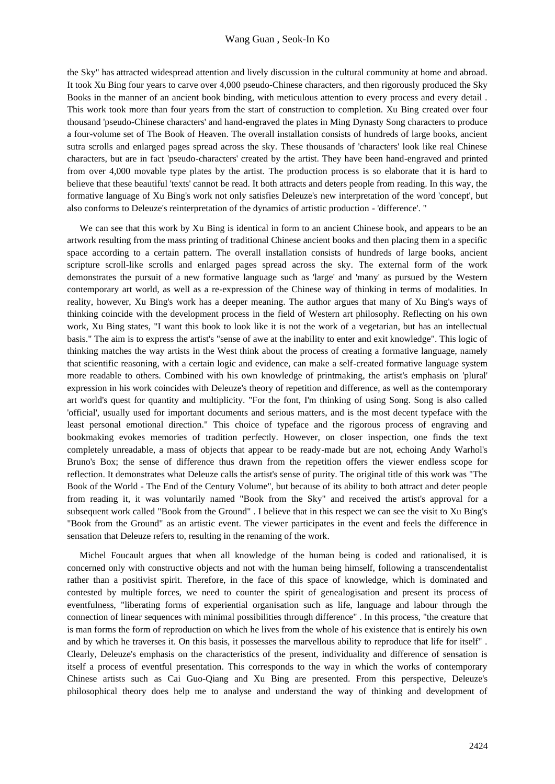the Sky" has attracted widespread attention and lively discussion in the cultural community at home and abroad. It took Xu Bing four years to carve over 4,000 pseudo-Chinese characters, and then rigorously produced the Sky Books in the manner of an ancient book binding, with meticulous attention to every process and every detail . This work took more than four years from the start of construction to completion. Xu Bing created over four thousand 'pseudo-Chinese characters' and hand-engraved the plates in Ming Dynasty Song characters to produce a four-volume set of The Book of Heaven. The overall installation consists of hundreds of large books, ancient sutra scrolls and enlarged pages spread across the sky. These thousands of 'characters' look like real Chinese characters, but are in fact 'pseudo-characters' created by the artist. They have been hand-engraved and printed from over 4,000 movable type plates by the artist. The production process is so elaborate that it is hard to believe that these beautiful 'texts' cannot be read. It both attracts and deters people from reading. In this way, the formative language of Xu Bing's work not only satisfies Deleuze's new interpretation of the word 'concept', but also conforms to Deleuze's reinterpretation of the dynamics of artistic production - 'difference'. "

We can see that this work by Xu Bing is identical in form to an ancient Chinese book, and appears to be an artwork resulting from the mass printing of traditional Chinese ancient books and then placing them in a specific space according to a certain pattern. The overall installation consists of hundreds of large books, ancient scripture scroll-like scrolls and enlarged pages spread across the sky. The external form of the work demonstrates the pursuit of a new formative language such as 'large' and 'many' as pursued by the Western contemporary art world, as well as a re-expression of the Chinese way of thinking in terms of modalities. In reality, however, Xu Bing's work has a deeper meaning. The author argues that many of Xu Bing's ways of thinking coincide with the development process in the field of Western art philosophy. Reflecting on his own work, Xu Bing states, "I want this book to look like it is not the work of a vegetarian, but has an intellectual basis." The aim is to express the artist's "sense of awe at the inability to enter and exit knowledge". This logic of thinking matches the way artists in the West think about the process of creating a formative language, namely that scientific reasoning, with a certain logic and evidence, can make a self-created formative language system more readable to others. Combined with his own knowledge of printmaking, the artist's emphasis on 'plural' expression in his work coincides with Deleuze's theory of repetition and difference, as well as the contemporary art world's quest for quantity and multiplicity. "For the font, I'm thinking of using Song. Song is also called 'official', usually used for important documents and serious matters, and is the most decent typeface with the least personal emotional direction." This choice of typeface and the rigorous process of engraving and bookmaking evokes memories of tradition perfectly. However, on closer inspection, one finds the text completely unreadable, a mass of objects that appear to be ready-made but are not, echoing Andy Warhol's Bruno's Box; the sense of difference thus drawn from the repetition offers the viewer endless scope for reflection. It demonstrates what Deleuze calls the artist's sense of purity. The original title of this work was "The Book of the World - The End of the Century Volume", but because of its ability to both attract and deter people from reading it, it was voluntarily named "Book from the Sky" and received the artist's approval for a subsequent work called "Book from the Ground" . I believe that in this respect we can see the visit to Xu Bing's "Book from the Ground" as an artistic event. The viewer participates in the event and feels the difference in sensation that Deleuze refers to, resulting in the renaming of the work.

Michel Foucault argues that when all knowledge of the human being is coded and rationalised, it is concerned only with constructive objects and not with the human being himself, following a transcendentalist rather than a positivist spirit. Therefore, in the face of this space of knowledge, which is dominated and contested by multiple forces, we need to counter the spirit of genealogisation and present its process of eventfulness, "liberating forms of experiential organisation such as life, language and labour through the connection of linear sequences with minimal possibilities through difference" . In this process, "the creature that is man forms the form of reproduction on which he lives from the whole of his existence that is entirely his own and by which he traverses it. On this basis, it possesses the marvellous ability to reproduce that life for itself" . Clearly, Deleuze's emphasis on the characteristics of the present, individuality and difference of sensation is itself a process of eventful presentation. This corresponds to the way in which the works of contemporary Chinese artists such as Cai Guo-Qiang and Xu Bing are presented. From this perspective, Deleuze's philosophical theory does help me to analyse and understand the way of thinking and development of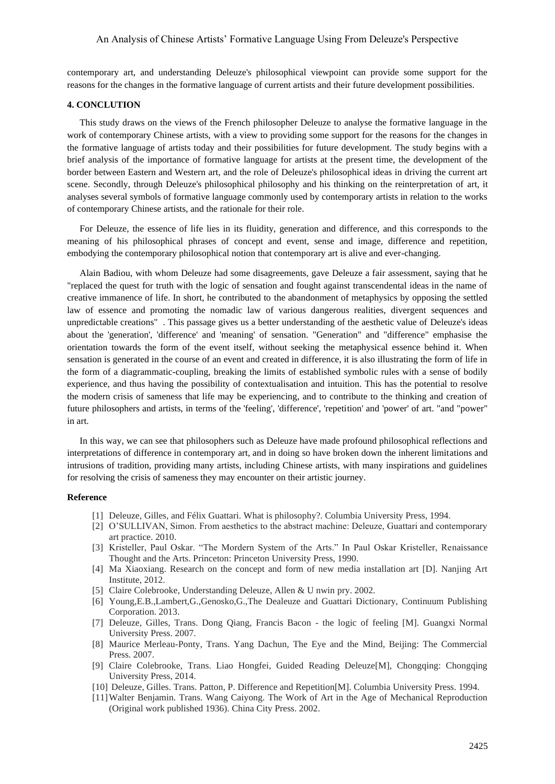contemporary art, and understanding Deleuze's philosophical viewpoint can provide some support for the reasons for the changes in the formative language of current artists and their future development possibilities.

#### **4. CONCLUTION**

This study draws on the views of the French philosopher Deleuze to analyse the formative language in the work of contemporary Chinese artists, with a view to providing some support for the reasons for the changes in the formative language of artists today and their possibilities for future development. The study begins with a brief analysis of the importance of formative language for artists at the present time, the development of the border between Eastern and Western art, and the role of Deleuze's philosophical ideas in driving the current art scene. Secondly, through Deleuze's philosophical philosophy and his thinking on the reinterpretation of art, it analyses several symbols of formative language commonly used by contemporary artists in relation to the works of contemporary Chinese artists, and the rationale for their role.

For Deleuze, the essence of life lies in its fluidity, generation and difference, and this corresponds to the meaning of his philosophical phrases of concept and event, sense and image, difference and repetition, embodying the contemporary philosophical notion that contemporary art is alive and ever-changing.

Alain Badiou, with whom Deleuze had some disagreements, gave Deleuze a fair assessment, saying that he "replaced the quest for truth with the logic of sensation and fought against transcendental ideas in the name of creative immanence of life. In short, he contributed to the abandonment of metaphysics by opposing the settled law of essence and promoting the nomadic law of various dangerous realities, divergent sequences and unpredictable creations" . This passage gives us a better understanding of the aesthetic value of Deleuze's ideas about the 'generation', 'difference' and 'meaning' of sensation. "Generation" and "difference" emphasise the orientation towards the form of the event itself, without seeking the metaphysical essence behind it. When sensation is generated in the course of an event and created in difference, it is also illustrating the form of life in the form of a diagrammatic-coupling, breaking the limits of established symbolic rules with a sense of bodily experience, and thus having the possibility of contextualisation and intuition. This has the potential to resolve the modern crisis of sameness that life may be experiencing, and to contribute to the thinking and creation of future philosophers and artists, in terms of the 'feeling', 'difference', 'repetition' and 'power' of art. "and "power" in art.

In this way, we can see that philosophers such as Deleuze have made profound philosophical reflections and interpretations of difference in contemporary art, and in doing so have broken down the inherent limitations and intrusions of tradition, providing many artists, including Chinese artists, with many inspirations and guidelines for resolving the crisis of sameness they may encounter on their artistic journey.

#### **Reference**

- [1] Deleuze, Gilles, and Félix Guattari. What is philosophy?. Columbia University Press, 1994.
- [2] O'SULLIVAN, Simon. From aesthetics to the abstract machine: Deleuze, Guattari and contemporary art practice. 2010.
- [3] Kristeller, Paul Oskar. "The Mordern System of the Arts." In Paul Oskar Kristeller, Renaissance Thought and the Arts. Princeton: Princeton University Press, 1990.
- [4] Ma Xiaoxiang. Research on the concept and form of new media installation art [D]. Nanjing Art Institute, 2012.
- [5] Claire Colebrooke, Understanding Deleuze, Allen & U nwin pry. 2002.
- [6] Young,E.B.,Lambert,G.,Genosko,G.,The Dealeuze and Guattari Dictionary, Continuum Publishing Corporation. 2013.
- [7] Deleuze, Gilles, Trans. Dong Qiang, Francis Bacon the logic of feeling [M]. Guangxi Normal University Press. 2007.
- [8] Maurice Merleau-Ponty, Trans. Yang Dachun, The Eye and the Mind, Beijing: The Commercial Press. 2007.
- [9] Claire Colebrooke, Trans. Liao Hongfei, Guided Reading Deleuze[M], Chongqing: Chongqing University Press, 2014.
- [10] Deleuze, Gilles. Trans. Patton, P. Difference and Repetition[M]. Columbia University Press. 1994.
- [11]Walter Benjamin. Trans. Wang Caiyong. The Work of Art in the Age of Mechanical Reproduction (Original work published 1936). China City Press. 2002.